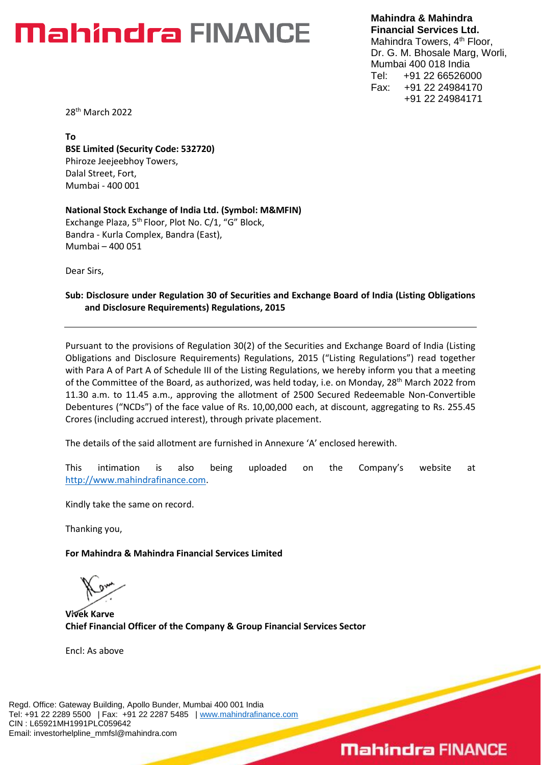### **Mahindra FINANCE**

**Mahindra & Mahindra Financial Services Ltd.** Mahindra Towers, 4<sup>th</sup> Floor, Dr. G. M. Bhosale Marg, Worli, Mumbai 400 018 India Tel: +91 22 66526000 Fax: +91 22 24984170 +91 22 24984171

28 th March 2022

**To BSE Limited (Security Code: 532720)** Phiroze Jeejeebhoy Towers, Dalal Street, Fort, Mumbai - 400 001

**National Stock Exchange of India Ltd. (Symbol: M&MFIN)** Exchange Plaza, 5<sup>th</sup> Floor, Plot No. C/1, "G" Block, Bandra - Kurla Complex, Bandra (East), Mumbai – 400 051

Dear Sirs,

#### **Sub: Disclosure under Regulation 30 of Securities and Exchange Board of India (Listing Obligations and Disclosure Requirements) Regulations, 2015**

Pursuant to the provisions of Regulation 30(2) of the Securities and Exchange Board of India (Listing Obligations and Disclosure Requirements) Regulations, 2015 ("Listing Regulations") read together with Para A of Part A of Schedule III of the Listing Regulations, we hereby inform you that a meeting of the Committee of the Board, as authorized, was held today, i.e. on Monday, 28<sup>th</sup> March 2022 from 11.30 a.m. to 11.45 a.m., approving the allotment of 2500 Secured Redeemable Non-Convertible Debentures ("NCDs") of the face value of Rs. 10,00,000 each, at discount, aggregating to Rs. 255.45 Crores (including accrued interest), through private placement.

The details of the said allotment are furnished in Annexure 'A' enclosed herewith.

This intimation is also being uploaded on the Company's website at [http://www.mahindrafinance.com.](http://www.mahindrafinance.com/)

Kindly take the same on record.

Thanking you,

**For Mahindra & Mahindra Financial Services Limited**

**Vivek Karve Chief Financial Officer of the Company & Group Financial Services Sector**

Encl: As above

Regd. Office: Gateway Building, Apollo Bunder, Mumbai 400 001 India Tel: +91 22 2289 5500 | Fax: +91 22 2287 5485 | [www.mahindrafinance.com](http://www.mahindrafinance.com/) CIN : L65921MH1991PLC059642 Email: investorhelpline\_mmfsl@mahindra.com

### **Mahindra FINANCE**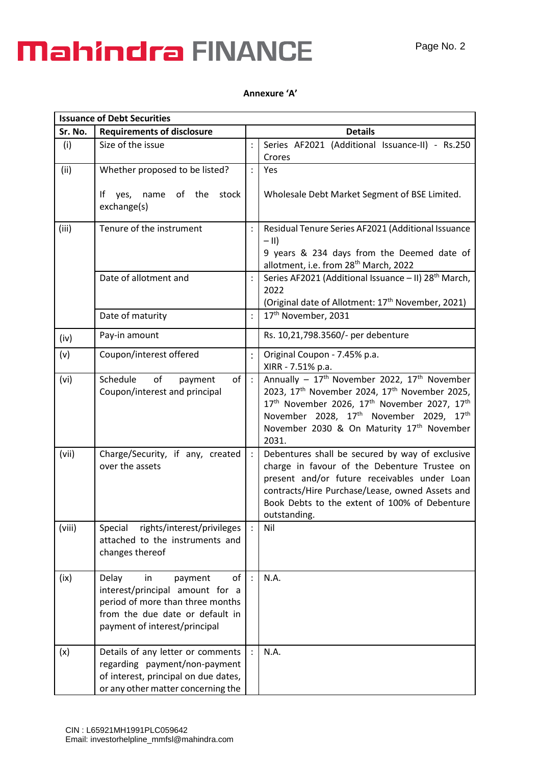## **Mahindra FINANCE**

### **Annexure 'A'**

| Sr. No. | <b>Requirements of disclosure</b>                                                                                                                                       |                | <b>Details</b>                                                                                                                                                                                                                                                                                 |
|---------|-------------------------------------------------------------------------------------------------------------------------------------------------------------------------|----------------|------------------------------------------------------------------------------------------------------------------------------------------------------------------------------------------------------------------------------------------------------------------------------------------------|
| (i)     | Size of the issue                                                                                                                                                       |                | Series AF2021 (Additional Issuance-II) - Rs.250<br>Crores                                                                                                                                                                                                                                      |
| (ii)    | Whether proposed to be listed?<br>of the<br>lf.<br>yes,<br>name<br>stock                                                                                                |                | Yes<br>Wholesale Debt Market Segment of BSE Limited.                                                                                                                                                                                                                                           |
|         | exchange(s)                                                                                                                                                             |                |                                                                                                                                                                                                                                                                                                |
| (iii)   | Tenure of the instrument                                                                                                                                                |                | Residual Tenure Series AF2021 (Additional Issuance<br>$-$ II)<br>9 years & 234 days from the Deemed date of                                                                                                                                                                                    |
|         |                                                                                                                                                                         |                | allotment, i.e. from 28 <sup>th</sup> March, 2022                                                                                                                                                                                                                                              |
|         | Date of allotment and                                                                                                                                                   |                | Series AF2021 (Additional Issuance - II) 28 <sup>th</sup> March,<br>2022                                                                                                                                                                                                                       |
|         | Date of maturity                                                                                                                                                        | $\vdots$       | (Original date of Allotment: 17 <sup>th</sup> November, 2021)<br>17th November, 2031                                                                                                                                                                                                           |
|         | Pay-in amount                                                                                                                                                           |                | Rs. 10,21,798.3560/- per debenture                                                                                                                                                                                                                                                             |
| (iv)    |                                                                                                                                                                         |                |                                                                                                                                                                                                                                                                                                |
| (v)     | Coupon/interest offered                                                                                                                                                 | $\ddot{\cdot}$ | Original Coupon - 7.45% p.a.<br>XIRR - 7.51% p.a.                                                                                                                                                                                                                                              |
| (vi)    | of<br>Schedule<br>of<br>payment<br>Coupon/interest and principal                                                                                                        | $\cdot$        | Annually - 17 <sup>th</sup> November 2022, 17 <sup>th</sup> November<br>2023, 17th November 2024, 17th November 2025,<br>17th November 2026, 17th November 2027, 17th<br>November 2028, 17 <sup>th</sup> November 2029, 17 <sup>th</sup><br>November 2030 & On Maturity 17th November<br>2031. |
| (vii)   | Charge/Security, if any, created<br>over the assets                                                                                                                     | $\ddot{\cdot}$ | Debentures shall be secured by way of exclusive<br>charge in favour of the Debenture Trustee on<br>present and/or future receivables under Loan<br>contracts/Hire Purchase/Lease, owned Assets and<br>Book Debts to the extent of 100% of Debenture<br>outstanding.                            |
| (viii)  | rights/interest/privileges<br>Special<br>attached to the instruments and<br>changes thereof                                                                             |                | Nil                                                                                                                                                                                                                                                                                            |
| (ix)    | of<br>Delay<br>in<br>payment<br>interest/principal amount for a<br>period of more than three months<br>from the due date or default in<br>payment of interest/principal | $\ddot{\cdot}$ | N.A.                                                                                                                                                                                                                                                                                           |
| (x)     | Details of any letter or comments<br>regarding payment/non-payment<br>of interest, principal on due dates,<br>or any other matter concerning the                        | $\ddot{\cdot}$ | N.A.                                                                                                                                                                                                                                                                                           |